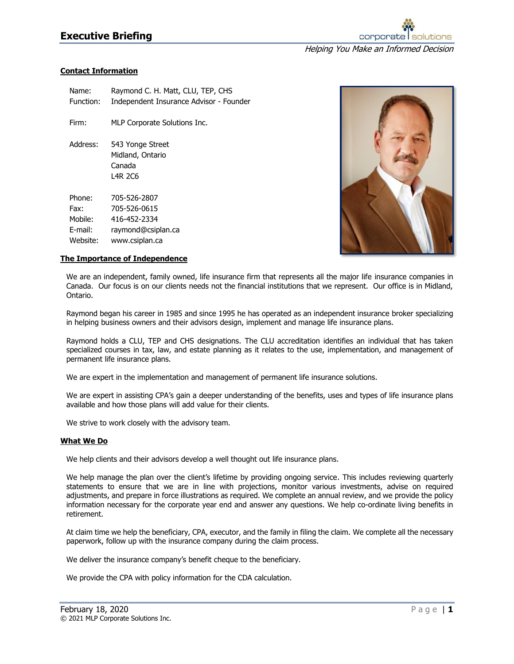# **Executive Briefing**



# **Contact Information**

| Name:     | Raymond C. H. Matt, CLU, TEP, CHS                         |
|-----------|-----------------------------------------------------------|
| Function: | Independent Insurance Advisor - Founder                   |
| Firm:     | MLP Corporate Solutions Inc.                              |
| Address:  | 543 Yonge Street<br>Midland, Ontario<br>Canada<br>L4R 2C6 |
| Phone:    | 705-526-2807                                              |
| Fax:      | 705-526-0615                                              |
| Mobile:   | 416-452-2334                                              |
| E-mail:   | raymond@csiplan.ca                                        |
| Website:  | www.csiplan.ca                                            |



# **The Importance of Independence**

We are an independent, family owned, life insurance firm that represents all the major life insurance companies in Canada. Our focus is on our clients needs not the financial institutions that we represent. Our office is in Midland, Ontario.

Raymond began his career in 1985 and since 1995 he has operated as an independent insurance broker specializing in helping business owners and their advisors design, implement and manage life insurance plans.

Raymond holds a CLU, TEP and CHS designations. The CLU accreditation identifies an individual that has taken specialized courses in tax, law, and estate planning as it relates to the use, implementation, and management of permanent life insurance plans.

We are expert in the implementation and management of permanent life insurance solutions.

We are expert in assisting CPA's gain a deeper understanding of the benefits, uses and types of life insurance plans available and how those plans will add value for their clients.

We strive to work closely with the advisory team.

#### **What We Do**

We help clients and their advisors develop a well thought out life insurance plans.

We help manage the plan over the client's lifetime by providing ongoing service. This includes reviewing quarterly statements to ensure that we are in line with projections, monitor various investments, advise on required adjustments, and prepare in force illustrations as required. We complete an annual review, and we provide the policy information necessary for the corporate year end and answer any questions. We help co-ordinate living benefits in retirement.

At claim time we help the beneficiary, CPA, executor, and the family in filing the claim. We complete all the necessary paperwork, follow up with the insurance company during the claim process.

We deliver the insurance company's benefit cheque to the beneficiary.

We provide the CPA with policy information for the CDA calculation.